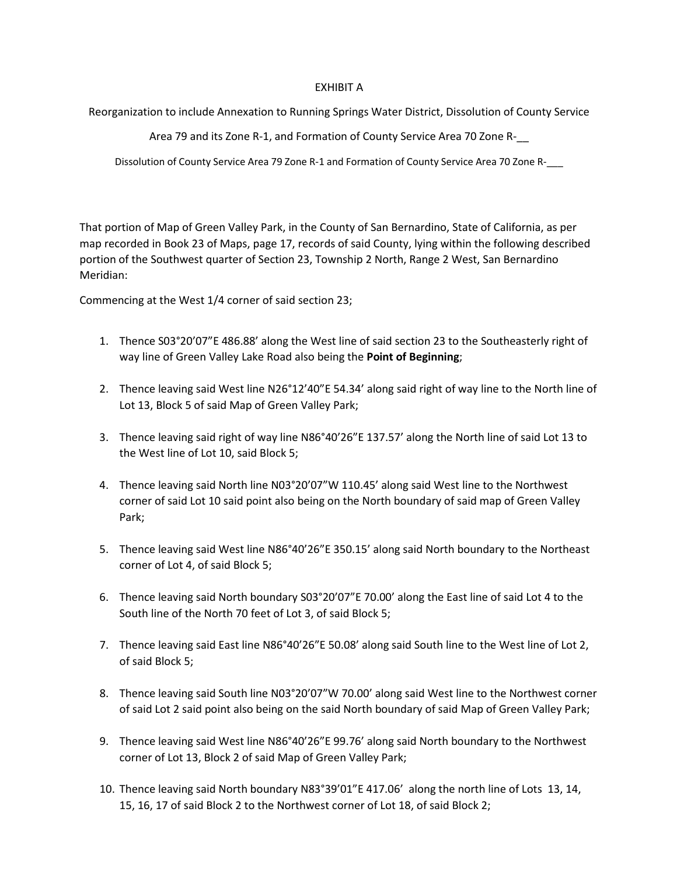## EXHIBIT A

Reorganization to include Annexation to Running Springs Water District, Dissolution of County Service

Area 79 and its Zone R-1, and Formation of County Service Area 70 Zone R-\_\_

Dissolution of County Service Area 79 Zone R-1 and Formation of County Service Area 70 Zone R-\_\_\_

That portion of Map of Green Valley Park, in the County of San Bernardino, State of California, as per map recorded in Book 23 of Maps, page 17, records of said County, lying within the following described portion of the Southwest quarter of Section 23, Township 2 North, Range 2 West, San Bernardino Meridian:

Commencing at the West 1/4 corner of said section 23;

- 1. Thence S03°20'07"E 486.88' along the West line of said section 23 to the Southeasterly right of way line of Green Valley Lake Road also being the **Point of Beginning**;
- 2. Thence leaving said West line N26°12'40"E 54.34' along said right of way line to the North line of Lot 13, Block 5 of said Map of Green Valley Park;
- 3. Thence leaving said right of way line N86°40'26"E 137.57' along the North line of said Lot 13 to the West line of Lot 10, said Block 5;
- 4. Thence leaving said North line N03°20'07"W 110.45' along said West line to the Northwest corner of said Lot 10 said point also being on the North boundary of said map of Green Valley Park;
- 5. Thence leaving said West line N86°40'26"E 350.15' along said North boundary to the Northeast corner of Lot 4, of said Block 5;
- 6. Thence leaving said North boundary S03°20'07"E 70.00' along the East line of said Lot 4 to the South line of the North 70 feet of Lot 3, of said Block 5;
- 7. Thence leaving said East line N86°40'26"E 50.08' along said South line to the West line of Lot 2, of said Block 5;
- 8. Thence leaving said South line N03°20'07"W 70.00' along said West line to the Northwest corner of said Lot 2 said point also being on the said North boundary of said Map of Green Valley Park;
- 9. Thence leaving said West line N86°40'26"E 99.76' along said North boundary to the Northwest corner of Lot 13, Block 2 of said Map of Green Valley Park;
- 10. Thence leaving said North boundary N83°39'01"E 417.06' along the north line of Lots 13, 14, 15, 16, 17 of said Block 2 to the Northwest corner of Lot 18, of said Block 2;